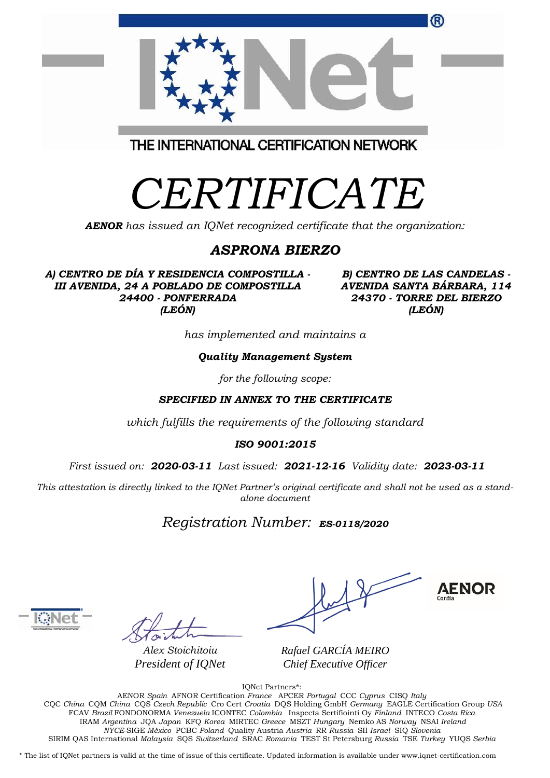| ®                                       |  |
|-----------------------------------------|--|
| THE INTERNATIONAL CERTIFICATION NETWORK |  |
|                                         |  |

*AENOR has issued an IQNet recognized certificate that the organization:*

## *ASPRONA BIERZO*

*A) CENTRO DE DÍA Y RESIDENCIA COMPOSTILLA - III AVENIDA, 24 A POBLADO DE COMPOSTILLA 24400 - PONFERRADA (LEÓN)*

*B) CENTRO DE LAS CANDELAS - AVENIDA SANTA BÁRBARA, 114 24370 - TORRE DEL BIERZO (LEÓN)*

*has implemented and maintains a*

## *Quality Management System*

*for the following scope:* 

*SPECIFIED IN ANNEX TO THE CERTIFICATE*

*which fulfills the requirements of the following standard*

*ISO 9001:2015*

*First issued on: 2020-03-11 Last issued: 2021-12-16 Validity date: 2023-03-11*

This attestation is directly linked to the IQNet Partner's original certificate and shall not be used as a stand*alone document*

*Registration Number: ES-0118/2020*



*Alex Stoichitoiu President of IQNet*

**AENOR** 

*Rafael GARCÍA MEIRO Chief Executive Officer*

IQNet Partners\*:

AENOR *Spain* AFNOR Certification *France* APCER *Portugal* CCC *Cyprus* CISQ *Italy* CQC *China* CQM *China* CQS *Czech Republic* Cro Cert *Croatia* DQS Holding GmbH *Germany* EAGLE Certification Group *USA* FCAV *Brazil* FONDONORMA *Venezuela* ICONTEC *Colombia* Inspecta Sertifiointi Oy *Finland* INTECO *Costa Rica* IRAM *Argentina* JQA *Japan* KFQ *Korea* MIRTEC *Greece* MSZT *Hungary* Nemko AS *Norway* NSAI *Ireland NYCE-*SIGE *México* PCBC *Poland* Quality Austria *Austria* RR *Russia* SII *Israel* SIQ *Slovenia*  SIRIM QAS International *Malaysia* SQS *Switzerland* SRAC *Romania* TEST St Petersburg *Russia* TSE *Turkey* YUQS *Serbia*

\* The list of IQNet partners is valid at the time of issue of this certificate. Updated information is available under www.iqnet-certification.com